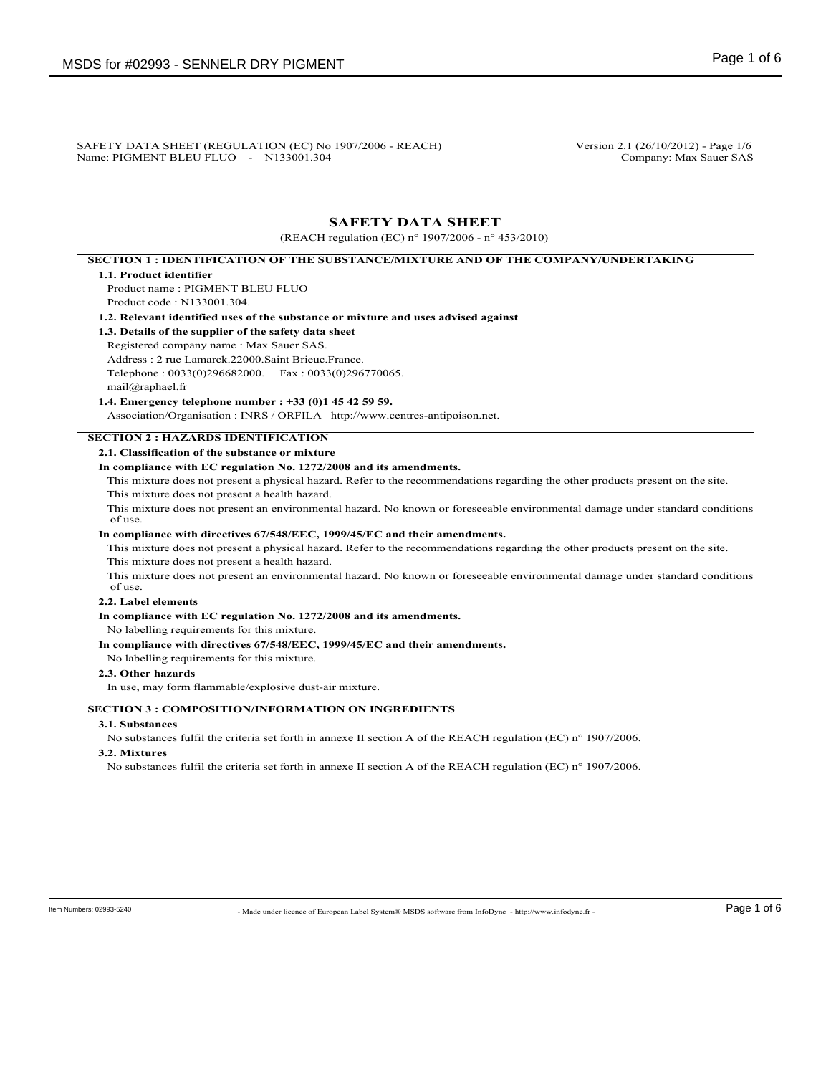SAFETY DATA SHEET (REGULATION (EC) No 1907/2006 - REACH) Version 2.1 (26/10/2012) - Page 1/6<br>Name: PIGMENT BLEU FLUO - N133001.304 Company: Max Sauer SAS Name: PIGMENT BLEU FLUO - N133001.304

# **SAFETY DATA SHEET**

(REACH regulation (EC) n° 1907/2006 - n° 453/2010)

# **SECTION 1 : IDENTIFICATION OF THE SUBSTANCE/MIXTURE AND OF THE COMPANY/UNDERTAKING**

### **1.1. Product identifier**

Product name : PIGMENT BLEU FLUO Product code : N133001.304.

**1.2. Relevant identified uses of the substance or mixture and uses advised against**

- **1.3. Details of the supplier of the safety data sheet**
- Registered company name : Max Sauer SAS.
- Address : 2 rue Lamarck.22000.Saint Brieuc.France.
- Telephone : 0033(0)296682000. Fax : 0033(0)296770065.

### mail@raphael.fr **1.4. Emergency telephone number : +33 (0)1 45 42 59 59.**

Association/Organisation : INRS / ORFILA http://www.centres-antipoison.net.

## **SECTION 2 : HAZARDS IDENTIFICATION**

**2.1. Classification of the substance or mixture**

## **In compliance with EC regulation No. 1272/2008 and its amendments.**

This mixture does not present a physical hazard. Refer to the recommendations regarding the other products present on the site.

This mixture does not present a health hazard.

This mixture does not present an environmental hazard. No known or foreseeable environmental damage under standard conditions of use.

### **In compliance with directives 67/548/EEC, 1999/45/EC and their amendments.**

This mixture does not present a physical hazard. Refer to the recommendations regarding the other products present on the site. This mixture does not present a health hazard.

This mixture does not present an environmental hazard. No known or foreseeable environmental damage under standard conditions of use.

### **2.2. Label elements**

**In compliance with EC regulation No. 1272/2008 and its amendments.**

No labelling requirements for this mixture.

#### **In compliance with directives 67/548/EEC, 1999/45/EC and their amendments.**

No labelling requirements for this mixture.

### **2.3. Other hazards**

In use, may form flammable/explosive dust-air mixture.

## **SECTION 3 : COMPOSITION/INFORMATION ON INGREDIENTS**

## **3.1. Substances**

No substances fulfil the criteria set forth in annexe II section A of the REACH regulation (EC) n° 1907/2006.

## **3.2. Mixtures**

No substances fulfil the criteria set forth in annexe II section A of the REACH regulation (EC) n° 1907/2006.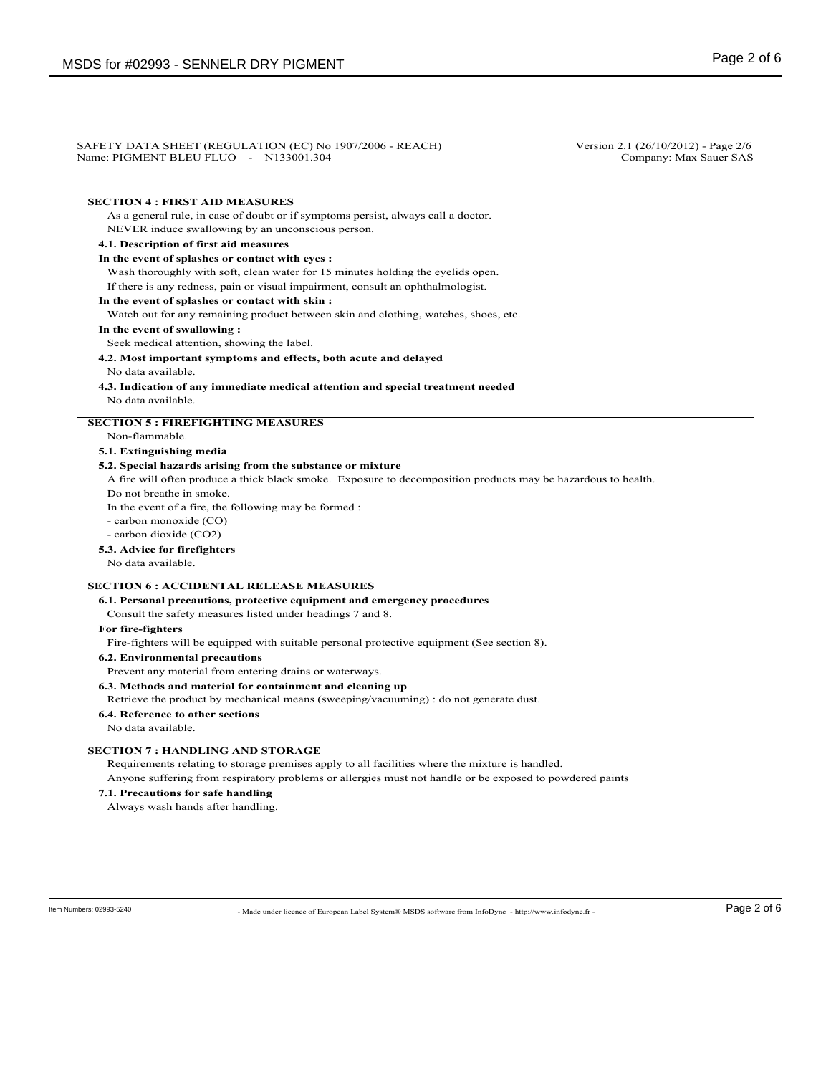#### SAFETY DATA SHEET (REGULATION (EC) No 1907/2006 - REACH) Version 2.1 (26/10/2012) - Page 2/6<br>Name: PIGMENT BLEU FLUO - N133001.304 Company: Max Sauer SAS Name: PIGMENT BLEU FLUO - N133001.304

## **SECTION 4 : FIRST AID MEASURES**

As a general rule, in case of doubt or if symptoms persist, always call a doctor. NEVER induce swallowing by an unconscious person.

#### **4.1. Description of first aid measures**

### **In the event of splashes or contact with eyes :**

Wash thoroughly with soft, clean water for 15 minutes holding the eyelids open. If there is any redness, pain or visual impairment, consult an ophthalmologist.

### **In the event of splashes or contact with skin :**

Watch out for any remaining product between skin and clothing, watches, shoes, etc.

### **In the event of swallowing :**

Seek medical attention, showing the label.

**4.2. Most important symptoms and effects, both acute and delayed**

### No data available.

**4.3. Indication of any immediate medical attention and special treatment needed** No data available.

### **SECTION 5 : FIREFIGHTING MEASURES**

Non-flammable.

## **5.1. Extinguishing media**

### **5.2. Special hazards arising from the substance or mixture**

A fire will often produce a thick black smoke. Exposure to decomposition products may be hazardous to health.

Do not breathe in smoke.

In the event of a fire, the following may be formed :

- carbon monoxide (CO)

- carbon dioxide (CO2)

#### **5.3. Advice for firefighters**

No data available.

## **SECTION 6 : ACCIDENTAL RELEASE MEASURES**

#### **6.1. Personal precautions, protective equipment and emergency procedures**

Consult the safety measures listed under headings 7 and 8.

#### **For fire-fighters**

Fire-fighters will be equipped with suitable personal protective equipment (See section 8).

**6.2. Environmental precautions**

Prevent any material from entering drains or waterways.

**6.3. Methods and material for containment and cleaning up**

Retrieve the product by mechanical means (sweeping/vacuuming) : do not generate dust.

**6.4. Reference to other sections**

No data available.

### **SECTION 7 : HANDLING AND STORAGE**

Requirements relating to storage premises apply to all facilities where the mixture is handled.

Anyone suffering from respiratory problems or allergies must not handle or be exposed to powdered paints

**7.1. Precautions for safe handling**

Always wash hands after handling.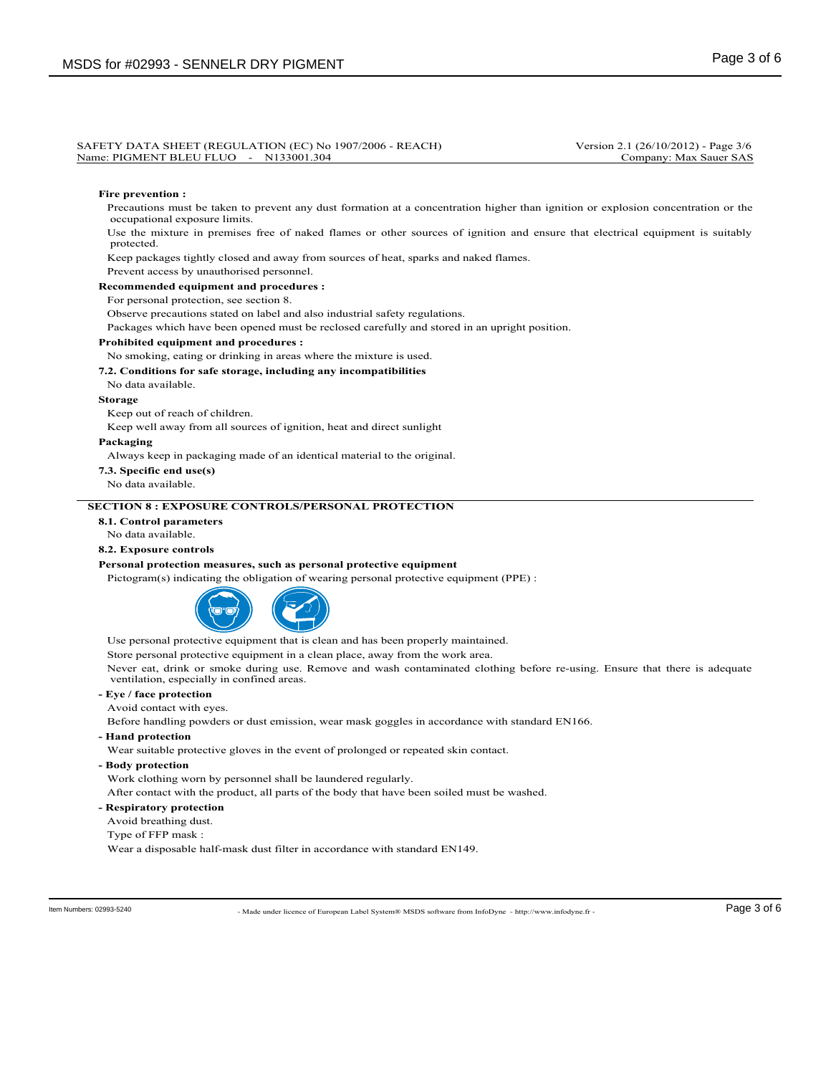#### SAFETY DATA SHEET (REGULATION (EC) No 1907/2006 - REACH) Version 2.1 (26/10/2012) - Page 3/6<br>Name: PIGMENT BLEU FLUO - N133001.304 Company: Max Sauer SAS Name: PIGMENT BLEU FLUO - N133001.304

#### **Fire prevention :**

Precautions must be taken to prevent any dust formation at a concentration higher than ignition or explosion concentration or the occupational exposure limits.

Use the mixture in premises free of naked flames or other sources of ignition and ensure that electrical equipment is suitably protected.

Keep packages tightly closed and away from sources of heat, sparks and naked flames.

Prevent access by unauthorised personnel.

**Recommended equipment and procedures :**

For personal protection, see section 8.

Observe precautions stated on label and also industrial safety regulations.

Packages which have been opened must be reclosed carefully and stored in an upright position.

#### **Prohibited equipment and procedures :**

## No smoking, eating or drinking in areas where the mixture is used.

#### **7.2. Conditions for safe storage, including any incompatibilities**

No data available.

### **Storage**

Keep out of reach of children.

Keep well away from all sources of ignition, heat and direct sunlight

#### **Packaging**

Always keep in packaging made of an identical material to the original.

**7.3. Specific end use(s)**

#### No data available.

### **SECTION 8 : EXPOSURE CONTROLS/PERSONAL PROTECTION**

## **8.1. Control parameters**

No data available.

## **8.2. Exposure controls**

### **Personal protection measures, such as personal protective equipment**

Pictogram(s) indicating the obligation of wearing personal protective equipment (PPE) :



Use personal protective equipment that is clean and has been properly maintained.

Store personal protective equipment in a clean place, away from the work area.

Never eat, drink or smoke during use. Remove and wash contaminated clothing before re-using. Ensure that there is adequate ventilation, especially in confined areas.

## **- Eye / face protection**

Avoid contact with eyes.

Before handling powders or dust emission, wear mask goggles in accordance with standard EN166.

**- Hand protection**

Wear suitable protective gloves in the event of prolonged or repeated skin contact.

**- Body protection**

Work clothing worn by personnel shall be laundered regularly.

After contact with the product, all parts of the body that have been soiled must be washed.

- **Respiratory protection**
- Avoid breathing dust.
- Type of FFP mask :

Wear a disposable half-mask dust filter in accordance with standard EN149.

- Made under licence of European Label System® MSDS software from InfoDyne - http://www.infodyne.fr - Item Numbers: 02993-5240 Page 3 of 6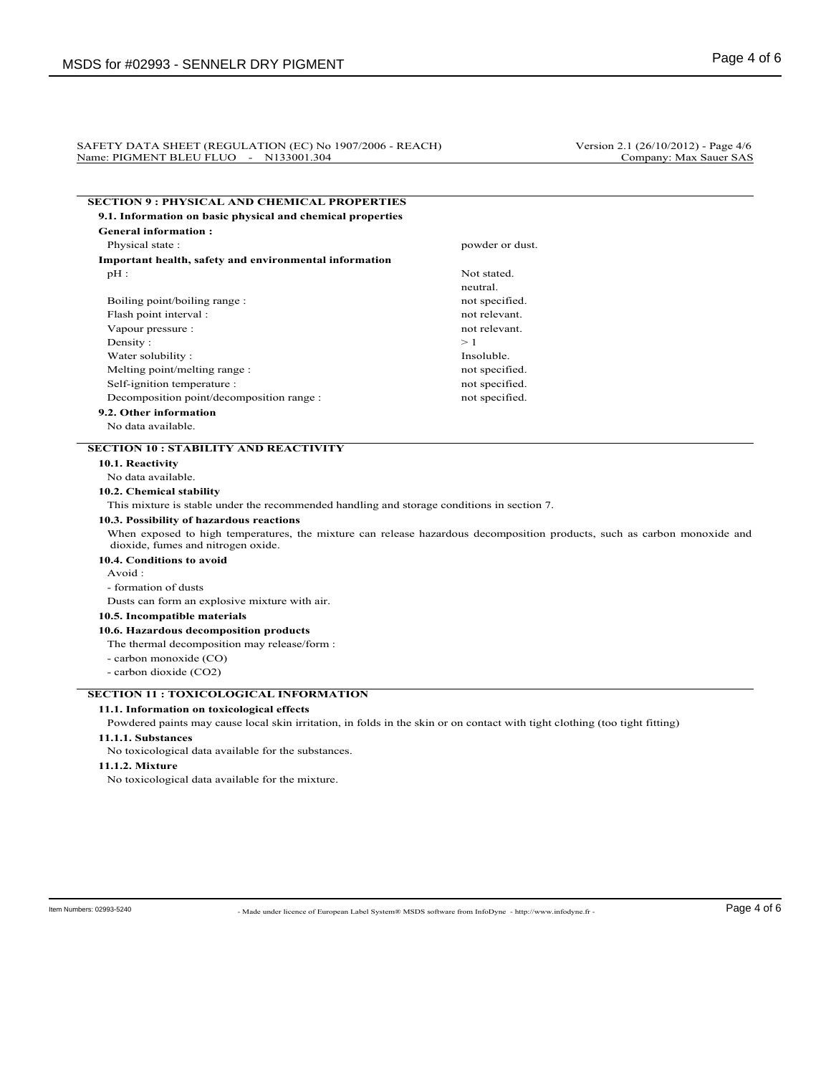#### SAFETY DATA SHEET (REGULATION (EC) No 1907/2006 - REACH) Version 2.1 (26/10/2012) - Page 4/6 Name: PIGMENT BLEU FLUO - N133001.304 Company: Max Sauer SAS

| <b>SECTION 9 : PHYSICAL AND CHEMICAL PROPERTIES</b>                                                                         |                                                                                                                          |
|-----------------------------------------------------------------------------------------------------------------------------|--------------------------------------------------------------------------------------------------------------------------|
| 9.1. Information on basic physical and chemical properties                                                                  |                                                                                                                          |
| <b>General information:</b>                                                                                                 |                                                                                                                          |
| Physical state:                                                                                                             | powder or dust.                                                                                                          |
| Important health, safety and environmental information                                                                      |                                                                                                                          |
| $pH$ :                                                                                                                      | Not stated.                                                                                                              |
|                                                                                                                             | neutral.                                                                                                                 |
| Boiling point/boiling range:                                                                                                | not specified.                                                                                                           |
| Flash point interval :                                                                                                      | not relevant.                                                                                                            |
| Vapour pressure :                                                                                                           | not relevant.                                                                                                            |
| Density:                                                                                                                    | >1                                                                                                                       |
| Water solubility:                                                                                                           | Insoluble.                                                                                                               |
| Melting point/melting range:                                                                                                | not specified.                                                                                                           |
| Self-ignition temperature :                                                                                                 | not specified.                                                                                                           |
| Decomposition point/decomposition range :                                                                                   | not specified.                                                                                                           |
| 9.2. Other information                                                                                                      |                                                                                                                          |
| No data available.                                                                                                          |                                                                                                                          |
| <b>SECTION 10 : STABILITY AND REACTIVITY</b>                                                                                |                                                                                                                          |
| 10.1. Reactivity                                                                                                            |                                                                                                                          |
| No data available.                                                                                                          |                                                                                                                          |
| 10.2. Chemical stability                                                                                                    |                                                                                                                          |
| This mixture is stable under the recommended handling and storage conditions in section 7.                                  |                                                                                                                          |
| 10.3. Possibility of hazardous reactions                                                                                    |                                                                                                                          |
| dioxide, fumes and nitrogen oxide.                                                                                          | When exposed to high temperatures, the mixture can release hazardous decomposition products, such as carbon monoxide and |
| 10.4. Conditions to avoid                                                                                                   |                                                                                                                          |
| Avoid:                                                                                                                      |                                                                                                                          |
| - formation of dusts                                                                                                        |                                                                                                                          |
| Dusts can form an explosive mixture with air.                                                                               |                                                                                                                          |
| 10.5. Incompatible materials                                                                                                |                                                                                                                          |
| 10.6. Hazardous decomposition products                                                                                      |                                                                                                                          |
| The thermal decomposition may release/form :                                                                                |                                                                                                                          |
| - carbon monoxide (CO)                                                                                                      |                                                                                                                          |
| - carbon dioxide (CO2)                                                                                                      |                                                                                                                          |
| <b>SECTION 11 : TOXICOLOGICAL INFORMATION</b>                                                                               |                                                                                                                          |
| 11.1. Information on toxicological effects                                                                                  |                                                                                                                          |
| Powdered paints may cause local skin irritation, in folds in the skin or on contact with tight clothing (too tight fitting) |                                                                                                                          |
| 11.1.1. Substances                                                                                                          |                                                                                                                          |
|                                                                                                                             |                                                                                                                          |
|                                                                                                                             |                                                                                                                          |
| No toxicological data available for the substances.<br>11.1.2. Mixture                                                      |                                                                                                                          |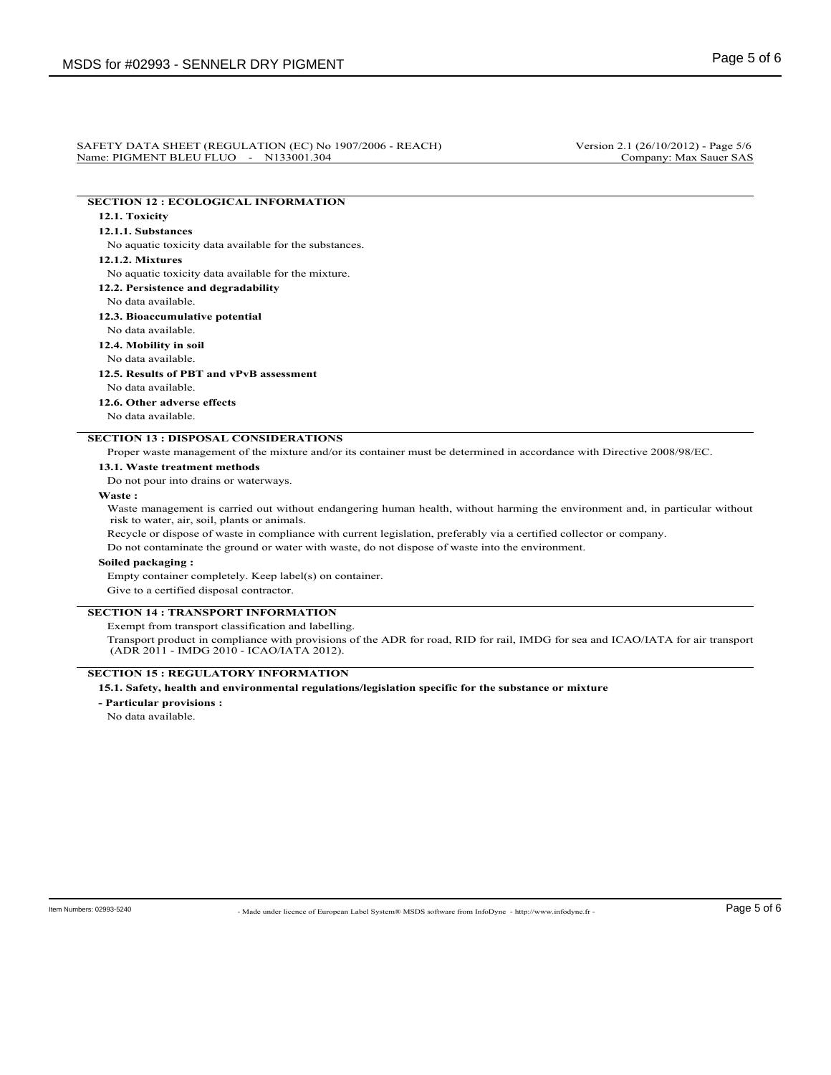#### SAFETY DATA SHEET (REGULATION (EC) No 1907/2006 - REACH) Version 2.1 (26/10/2012) - Page 5/6<br>Name: PIGMENT BLEU FLUO - N133001.304 Company: Max Sauer SAS Name: PIGMENT BLEU FLUO - N133001.304

# **SECTION 12 : ECOLOGICAL INFORMATION**

## **12.1. Toxicity**

## **12.1.1. Substances**

No aquatic toxicity data available for the substances.

### **12.1.2. Mixtures**

No aquatic toxicity data available for the mixture.

**12.2. Persistence and degradability**

#### No data available.

**12.3. Bioaccumulative potential**

## No data available.

**12.4. Mobility in soil**

# No data available.

**12.5. Results of PBT and vPvB assessment**

No data available.

**12.6. Other adverse effects**

No data available.

## **SECTION 13 : DISPOSAL CONSIDERATIONS**

Proper waste management of the mixture and/or its container must be determined in accordance with Directive 2008/98/EC.

#### **13.1. Waste treatment methods**

Do not pour into drains or waterways.

### **Waste :**

Waste management is carried out without endangering human health, without harming the environment and, in particular without risk to water, air, soil, plants or animals.

Recycle or dispose of waste in compliance with current legislation, preferably via a certified collector or company.

Do not contaminate the ground or water with waste, do not dispose of waste into the environment.

### **Soiled packaging :**

Empty container completely. Keep label(s) on container.

Give to a certified disposal contractor.

## **SECTION 14 : TRANSPORT INFORMATION**

Exempt from transport classification and labelling.

Transport product in compliance with provisions of the ADR for road, RID for rail, IMDG for sea and ICAO/IATA for air transport (ADR 2011 - IMDG 2010 - ICAO/IATA 2012).

## **SECTION 15 : REGULATORY INFORMATION**

## **15.1. Safety, health and environmental regulations/legislation specific for the substance or mixture**

**- Particular provisions :**

No data available.